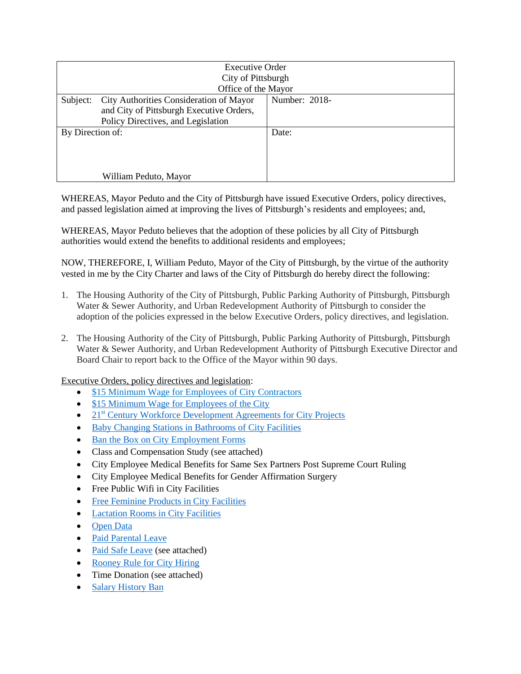| <b>Executive Order</b><br>City of Pittsburgh<br>Office of the Mayor |                                                                                                                           |               |
|---------------------------------------------------------------------|---------------------------------------------------------------------------------------------------------------------------|---------------|
| Subject:                                                            | City Authorities Consideration of Mayor<br>and City of Pittsburgh Executive Orders,<br>Policy Directives, and Legislation | Number: 2018- |
| By Direction of:                                                    |                                                                                                                           | Date:         |
| William Peduto, Mayor                                               |                                                                                                                           |               |

WHEREAS, Mayor Peduto and the City of Pittsburgh have issued Executive Orders, policy directives, and passed legislation aimed at improving the lives of Pittsburgh's residents and employees; and,

WHEREAS, Mayor Peduto believes that the adoption of these policies by all City of Pittsburgh authorities would extend the benefits to additional residents and employees;

NOW, THEREFORE, I, William Peduto, Mayor of the City of Pittsburgh, by the virtue of the authority vested in me by the City Charter and laws of the City of Pittsburgh do hereby direct the following:

- 1. The Housing Authority of the City of Pittsburgh, Public Parking Authority of Pittsburgh, Pittsburgh Water & Sewer Authority, and Urban Redevelopment Authority of Pittsburgh to consider the adoption of the policies expressed in the below Executive Orders, policy directives, and legislation.
- 2. The Housing Authority of the City of Pittsburgh, Public Parking Authority of Pittsburgh, Pittsburgh Water & Sewer Authority, and Urban Redevelopment Authority of Pittsburgh Executive Director and Board Chair to report back to the Office of the Mayor within 90 days.

Executive Orders, policy directives and legislation:

- [\\$15 Minimum Wage for Employees of City Contractors](http://pittsburghpa.gov/press-releases/press-releases.html?id=1088)
- [\\$15 Minimum Wage for Employees of the City](http://pittsburghpa.gov/press-releases/press-releases.html?id=1088)
- $21<sup>st</sup>$  [Century Workforce Development Agreements for City Projects](http://pittsburghpa.gov/press-releases/press-releases.html?id=1997)
- [Baby Changing Stations in Bathrooms of City Facilities](https://pittsburgh.legistar.com/LegislationDetail.aspx?ID=1458727&GUID=B76D9A2E-6A7E-47EF-AFDA-1383D309B6CD&Options=ID|Text|&Search=baby+changing)
- [Ban the Box on City Employment Forms](https://pittsburgh.legistar.com/LegislationDetail.aspx?ID=1255090&GUID=838F230C-B8B9-4829-9D06-2D5E2B9AE569&Options=ID|Text|&Search=ban+the+box)
- Class and Compensation Study (see attached)
- City Employee Medical Benefits for Same Sex Partners Post Supreme Court Ruling
- City Employee Medical Benefits for Gender Affirmation Surgery
- Free Public Wifi in City Facilities
- [Free Feminine Products in City Facilities](https://pittsburgh.legistar.com/LegislationDetail.aspx?ID=2987012&GUID=C305DECF-5640-45B5-9C01-64C2546DF297&Options=ID|Text|&Search=feminine)
- [Lactation Rooms in City Facilities](http://pittsburghpa.gov/press-releases/press-releases.html?id=1628)
- [Open Data](https://pittsburgh.legistar.com/LegislationDetail.aspx?ID=1632976&GUID=C476BBD1-7CD9-4ED2-8A16-B7ECA89F4D40&Options=ID|Text|&Search=open+data)
- [Paid Parental Leave](http://apps.pittsburghpa.gov/pcsc/Paid_Parental_Leave_of_Absence_Policy.pdf)
- [Paid Safe Leave](http://pittsburghpa.gov/press-releases/press-releases.html?id=1647) (see attached)
- [Rooney Rule for City Hiring](http://apps.pittsburghpa.gov/mayorpeduto/4.19.17_Advancing_Diversity_in_City_Recruitment_and_Hiring.pdf)
- Time Donation (see attached)
- [Salary History Ban](https://pittsburgh.legistar.com/LegislationDetail.aspx?ID=2931161&GUID=E45D1721-68E5-4BEC-9989-59C275B74AA7&Options=ID|Text|&Search=salary+history)